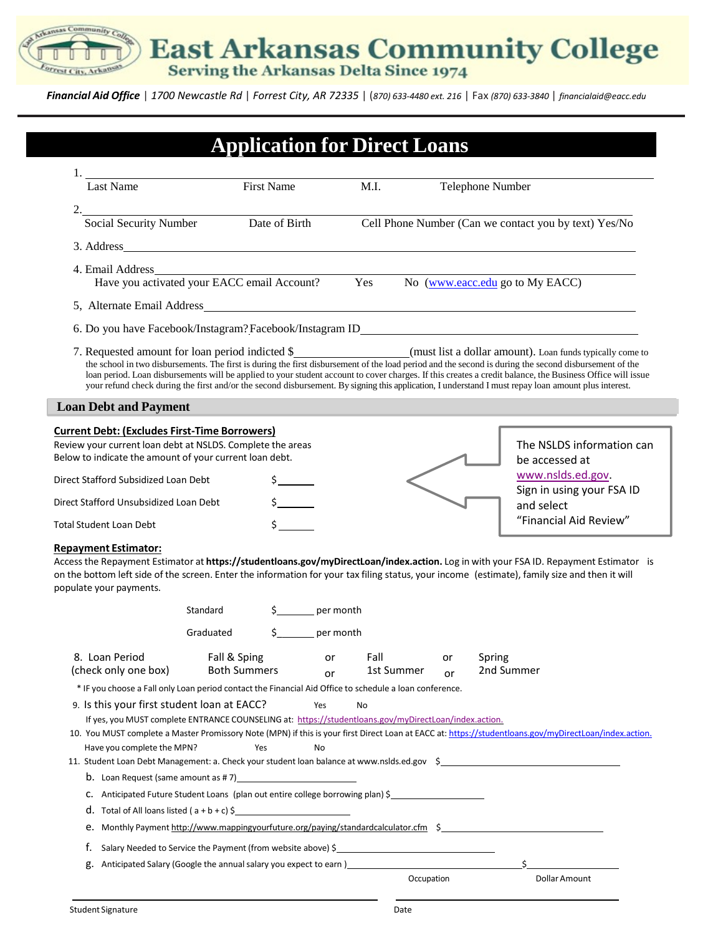East Arkansas Community College

inity Col

0

Forrest City, Arkansas

*Financial Aid Office* | *1700 Newcastle Rd* | *Forrest City, AR 72335* | (*870) 633-4480 ext. 216* | Fax *(870) 633-3840* | *[financialaid@eacc.edu](mailto:financialaid@eacc.edu)*

| <b>Last Name</b>                                                                                                                                                                                                                                                                                                                                                                                                                                                                                                                                                                                                            |                                                              | First Name | M.I.                   |            | Telephone Number |            |                                                       |  |
|-----------------------------------------------------------------------------------------------------------------------------------------------------------------------------------------------------------------------------------------------------------------------------------------------------------------------------------------------------------------------------------------------------------------------------------------------------------------------------------------------------------------------------------------------------------------------------------------------------------------------------|--------------------------------------------------------------|------------|------------------------|------------|------------------|------------|-------------------------------------------------------|--|
| 2.                                                                                                                                                                                                                                                                                                                                                                                                                                                                                                                                                                                                                          |                                                              |            |                        |            |                  |            |                                                       |  |
| Social Security Number<br>Date of Birth                                                                                                                                                                                                                                                                                                                                                                                                                                                                                                                                                                                     |                                                              |            |                        |            |                  |            | Cell Phone Number (Can we contact you by text) Yes/No |  |
| 3. Address                                                                                                                                                                                                                                                                                                                                                                                                                                                                                                                                                                                                                  |                                                              |            |                        |            |                  |            |                                                       |  |
| 4. Email Address<br>Have you activated your EACC email Account?<br>Yes No (www.eacc.edu go to My EACC)                                                                                                                                                                                                                                                                                                                                                                                                                                                                                                                      |                                                              |            |                        |            |                  |            |                                                       |  |
|                                                                                                                                                                                                                                                                                                                                                                                                                                                                                                                                                                                                                             |                                                              |            |                        |            |                  |            |                                                       |  |
| 6. Do you have Facebook/Instagram?Facebook/Instagram ID__________________________                                                                                                                                                                                                                                                                                                                                                                                                                                                                                                                                           |                                                              |            |                        |            |                  |            |                                                       |  |
| 7. Requested amount for loan period indicted \$___________________________________(must list a dollar amount). Loan funds typically come to<br>the school in two disbursements. The first is during the first disbursement of the load period and the second is during the second disbursement of the<br>loan period. Loan disbursements will be applied to your student account to cover charges. If this creates a credit balance, the Business Office will issue<br>your refund check during the first and/or the second disbursement. By signing this application, I understand I must repay loan amount plus interest. |                                                              |            |                        |            |                  |            |                                                       |  |
| <b>Loan Debt and Payment</b>                                                                                                                                                                                                                                                                                                                                                                                                                                                                                                                                                                                                |                                                              |            |                        |            |                  |            |                                                       |  |
| <b>Current Debt: (Excludes First-Time Borrowers)</b><br>Review your current loan debt at NSLDS. Complete the areas<br>Below to indicate the amount of your current loan debt.                                                                                                                                                                                                                                                                                                                                                                                                                                               |                                                              |            |                        |            |                  |            | The NSLDS information can<br>be accessed at           |  |
| Direct Stafford Subsidized Loan Debt                                                                                                                                                                                                                                                                                                                                                                                                                                                                                                                                                                                        |                                                              |            |                        |            |                  |            |                                                       |  |
|                                                                                                                                                                                                                                                                                                                                                                                                                                                                                                                                                                                                                             |                                                              |            |                        |            |                  |            | www.nslds.ed.gov<br>Sign in using your FSA ID         |  |
|                                                                                                                                                                                                                                                                                                                                                                                                                                                                                                                                                                                                                             |                                                              |            |                        |            |                  |            | and select                                            |  |
| Direct Stafford Unsubsidized Loan Debt<br><b>Total Student Loan Debt</b><br><b>Repayment Estimator:</b><br>Access the Repayment Estimator at https://studentloans.gov/myDirectLoan/index.action. Log in with your FSA ID. Repayment Estimator is                                                                                                                                                                                                                                                                                                                                                                            |                                                              |            |                        |            |                  |            | "Financial Aid Review"                                |  |
| on the bottom left side of the screen. Enter the information for your tax filing status, your income (estimate), family size and then it will<br>populate your payments.                                                                                                                                                                                                                                                                                                                                                                                                                                                    | Standard<br>Graduated                                        |            | per month<br>per month |            |                  |            |                                                       |  |
| 8. Loan Period                                                                                                                                                                                                                                                                                                                                                                                                                                                                                                                                                                                                              | Fall & Sping<br><b>Both Summers</b>                          |            | or Fall                |            | or               | Spring     |                                                       |  |
| (check only one box)                                                                                                                                                                                                                                                                                                                                                                                                                                                                                                                                                                                                        |                                                              |            | or                     | 1st Summer | or               | 2nd Summer |                                                       |  |
| * IF you choose a Fall only Loan period contact the Financial Aid Office to schedule a loan conference.<br>9. Is this your first student loan at EACC?                                                                                                                                                                                                                                                                                                                                                                                                                                                                      |                                                              | Yes        | No                     |            |                  |            |                                                       |  |
| If yes, you MUST complete ENTRANCE COUNSELING at: https://studentloans.gov/myDirectLoan/index.action.                                                                                                                                                                                                                                                                                                                                                                                                                                                                                                                       |                                                              |            |                        |            |                  |            |                                                       |  |
| 10. You MUST complete a Master Promissory Note (MPN) if this is your first Direct Loan at EACC at: https://studentloans.gov/myDirectLoan/index.action.                                                                                                                                                                                                                                                                                                                                                                                                                                                                      |                                                              | Yes<br>No  |                        |            |                  |            |                                                       |  |
| Have you complete the MPN?<br>11. Student Loan Debt Management: a. Check your student loan balance at www.nslds.ed.gov \$                                                                                                                                                                                                                                                                                                                                                                                                                                                                                                   |                                                              |            |                        |            |                  |            |                                                       |  |
|                                                                                                                                                                                                                                                                                                                                                                                                                                                                                                                                                                                                                             |                                                              |            |                        |            |                  |            |                                                       |  |
| C. Anticipated Future Student Loans (plan out entire college borrowing plan) \$                                                                                                                                                                                                                                                                                                                                                                                                                                                                                                                                             |                                                              |            |                        |            |                  |            |                                                       |  |
| <b>d</b> . Total of All loans listed $(a + b + c)$ \$                                                                                                                                                                                                                                                                                                                                                                                                                                                                                                                                                                       |                                                              |            |                        |            |                  |            |                                                       |  |
| e. Monthly Payment http://www.mappingyourfuture.org/paying/standardcalculator.cfm \$                                                                                                                                                                                                                                                                                                                                                                                                                                                                                                                                        |                                                              |            |                        |            |                  |            |                                                       |  |
| f.                                                                                                                                                                                                                                                                                                                                                                                                                                                                                                                                                                                                                          | Salary Needed to Service the Payment (from website above) \$ |            |                        |            |                  |            |                                                       |  |